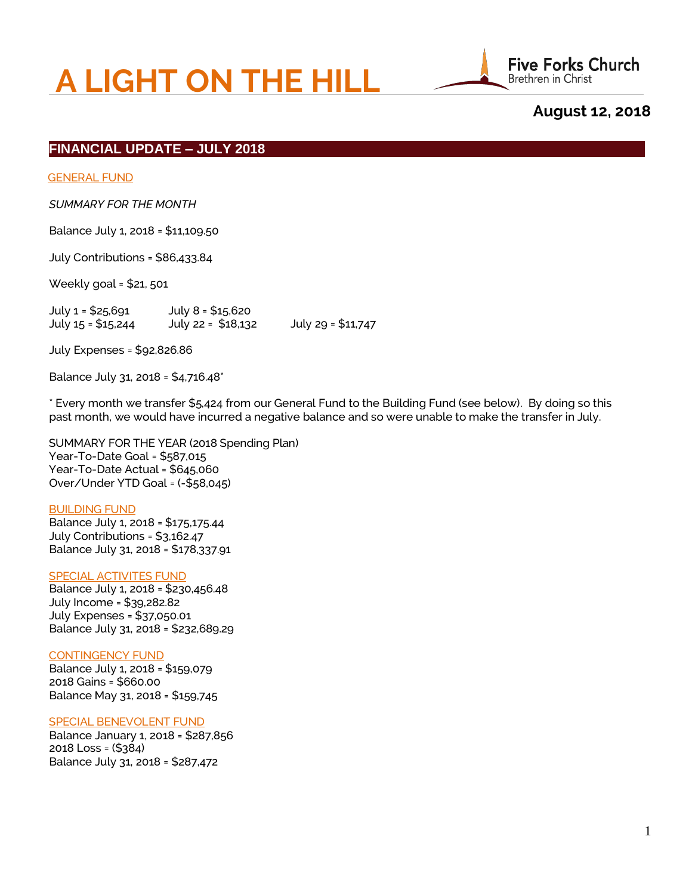# **A LIGHT ON THE HILL**



# **August 12, 2018**

## **FINANCIAL UPDATE – JULY 2018**

GENERAL FUND

*SUMMARY FOR THE MONTH*

Balance July 1, 2018 = \$11,109.50

July Contributions = \$86,433.84

Weekly goal = \$21, 501

 July 1 = \$25,691 July 8 = \$15,620 July 15 = \$15,244 July 22 = \$18,132 July 29 = \$11,747

July Expenses = \$92,826.86

Balance July 31, 2018 = \$4,716.48\*

 \* Every month we transfer \$5,424 from our General Fund to the Building Fund (see below). By doing so this past month, we would have incurred a negative balance and so were unable to make the transfer in July.

 SUMMARY FOR THE YEAR (2018 Spending Plan) Year-To-Date Goal = \$587,015 Year-To-Date Actual = \$645,060 Over/Under YTD Goal = (-\$58,045)

#### BUILDING FUND

 Balance July 1, 2018 = \$175,175.44 July Contributions = \$3,162.47 Balance July 31, 2018 = \$178,337.91

#### SPECIAL ACTIVITES FUND

 Balance July 1, 2018 = \$230,456.48 July Income = \$39,282.82 July Expenses = \$37,050.01 Balance July 31, 2018 = \$232,689.29

#### CONTINGENCY FUND

 Balance July 1, 2018 = \$159,079 2018 Gains = \$660.00 Balance May 31, 2018 = \$159,745

#### SPECIAL BENEVOLENT FUND

 Balance January 1, 2018 = \$287,856 2018 Loss = (\$384) Balance July 31, 2018 = \$287,472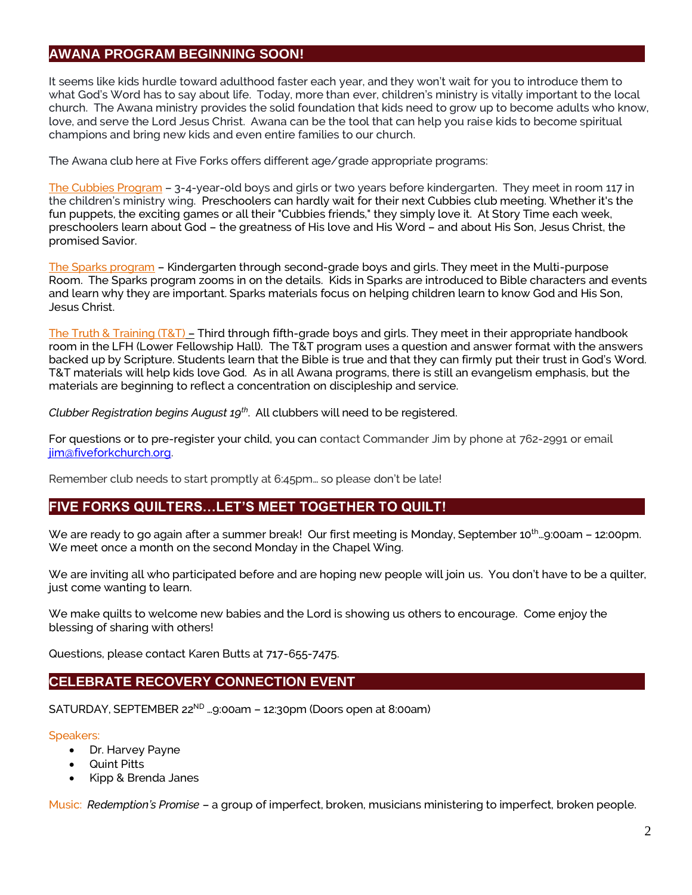# **AWANA PROGRAM BEGINNING SOON!**

It seems like kids hurdle toward adulthood faster each year, and they won't wait for you to introduce them to what God's Word has to say about life. Today, more than ever, children's ministry is vitally important to the local church. The Awana ministry provides the solid foundation that kids need to grow up to become adults who know, love, and serve the Lord Jesus Christ. Awana can be the tool that can help you raise kids to become spiritual champions and bring new kids and even entire families to our church.

The Awana club here at Five Forks offers different age/grade appropriate programs:

The Cubbies Program – 3-4-year-old boys and girls or two years before kindergarten. They meet in room 117 in the children's ministry wing. Preschoolers can hardly wait for their next Cubbies club meeting. Whether it's the fun puppets, the exciting games or all their "Cubbies friends," they simply love it. At Story Time each week, preschoolers learn about God – the greatness of His love and His Word – and about His Son, Jesus Christ, the promised Savior.

The Sparks program - Kindergarten through second-grade boys and girls. They meet in the Multi-purpose Room. The Sparks program zooms in on the details. Kids in Sparks are introduced to Bible characters and events and learn why they are important. Sparks materials focus on helping children learn to know God and His Son, Jesus Christ.

The Truth & Training (T&T) – Third through fifth-grade boys and girls. They meet in their appropriate handbook room in the LFH (Lower Fellowship Hall). The T&T program uses a question and answer format with the answers backed up by Scripture. Students learn that the Bible is true and that they can firmly put their trust in God's Word. T&T materials will help kids love God. As in all Awana programs, there is still an evangelism emphasis, but the materials are beginning to reflect a concentration on discipleship and service.

Clubber Registration begins August 19<sup>th</sup>. All clubbers will need to be registered.

For questions or to pre-register your child, you can contact Commander Jim by phone at 762-2991 or email [jim@fiveforkchurch.org.](mailto:jim@fiveforkchurch.org)

Remember club needs to start promptly at 6:45pm… so please don't be late!

# **FIVE FORKS QUILTERS…LET'S MEET TOGETHER TO QUILT!**

We are ready to go again after a summer break! Our first meeting is Monday, September 10<sup>th</sup>…9:00am – 12:00pm. We meet once a month on the second Monday in the Chapel Wing.

We are inviting all who participated before and are hoping new people will join us. You don't have to be a quilter, just come wanting to learn.

We make quilts to welcome new babies and the Lord is showing us others to encourage. Come enjoy the blessing of sharing with others!

Questions, please contact Karen Butts at 717-655-7475.

# **CELEBRATE RECOVERY CONNECTION EVENT**

SATURDAY, SEPTEMBER 22<sup>ND</sup> ...9:00am - 12:30pm (Doors open at 8:00am)

## Speakers:

- Dr. Harvey Payne
- Quint Pitts
- Kipp & Brenda Janes

Music: *Redemption's Promise* – a group of imperfect, broken, musicians ministering to imperfect, broken people.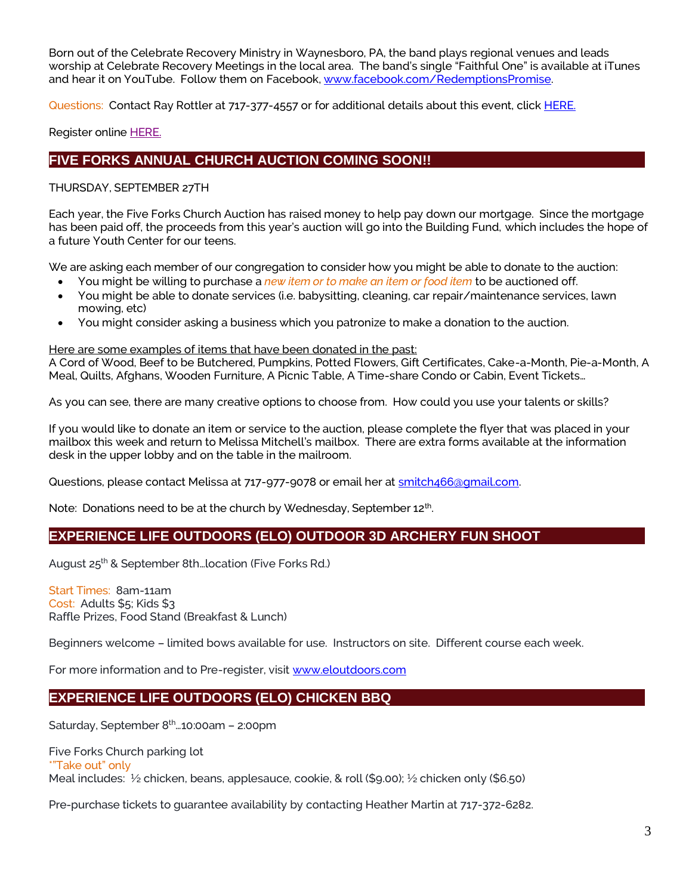Born out of the Celebrate Recovery Ministry in Waynesboro, PA, the band plays regional venues and leads worship at Celebrate Recovery Meetings in the local area. The band's single "Faithful One" is available at iTunes and hear it on YouTube. Follow them on Facebook, [www.facebook.com/RedemptionsPromise.](http://www.facebook.com/RedemptionsPromise)

Questions: Contact Ray Rottler at 717-377-4557 or for additional details about this event, clic[k HERE.](http://www.ffbic.org/wp-content/uploads/2018/08/CR-Connection-Event.pdf)

Register online [HERE.](http://www.ffbic.org/ministries/celebrate-recovery/)

# **FIVE FORKS ANNUAL CHURCH AUCTION COMING SOON!!**

## THURSDAY, SEPTEMBER 27TH

Each year, the Five Forks Church Auction has raised money to help pay down our mortgage. Since the mortgage has been paid off, the proceeds from this year's auction will go into the Building Fund, which includes the hope of a future Youth Center for our teens.

We are asking each member of our congregation to consider how you might be able to donate to the auction:

- You might be willing to purchase a *new item or to make an item or food item* to be auctioned off.
- You might be able to donate services (i.e. babysitting, cleaning, car repair/maintenance services, lawn mowing, etc)
- You might consider asking a business which you patronize to make a donation to the auction.

#### Here are some examples of items that have been donated in the past:

A Cord of Wood, Beef to be Butchered, Pumpkins, Potted Flowers, Gift Certificates, Cake-a-Month, Pie-a-Month, A Meal, Quilts, Afghans, Wooden Furniture, A Picnic Table, A Time-share Condo or Cabin, Event Tickets…

As you can see, there are many creative options to choose from. How could you use your talents or skills?

If you would like to donate an item or service to the auction, please complete the flyer that was placed in your mailbox this week and return to Melissa Mitchell's mailbox. There are extra forms available at the information desk in the upper lobby and on the table in the mailroom.

Questions, please contact Melissa at 717-977-9078 or email her at smitch466@qmail.com.

Note: Donations need to be at the church by Wednesday, September 12<sup>th</sup>.

# **EXPERIENCE LIFE OUTDOORS (ELO) OUTDOOR 3D ARCHERY FUN SHOOT**

August 25<sup>th</sup> & September 8th...location (Five Forks Rd.)

Start Times: 8am-11am Cost: Adults \$5; Kids \$3 Raffle Prizes, Food Stand (Breakfast & Lunch)

Beginners welcome – limited bows available for use. Instructors on site. Different course each week.

For more information and to Pre-register, visi[t www.eloutdoors.com](http://www.eloutdoors.com/)

# **EXPERIENCE LIFE OUTDOORS (ELO) CHICKEN BBQ**

Saturday, September 8<sup>th</sup>...10:00am - 2:00pm

Five Forks Church parking lot \*"Take out" only Meal includes: ½ chicken, beans, applesauce, cookie, & roll (\$9.00); ½ chicken only (\$6.50)

Pre-purchase tickets to guarantee availability by contacting Heather Martin at 717-372-6282.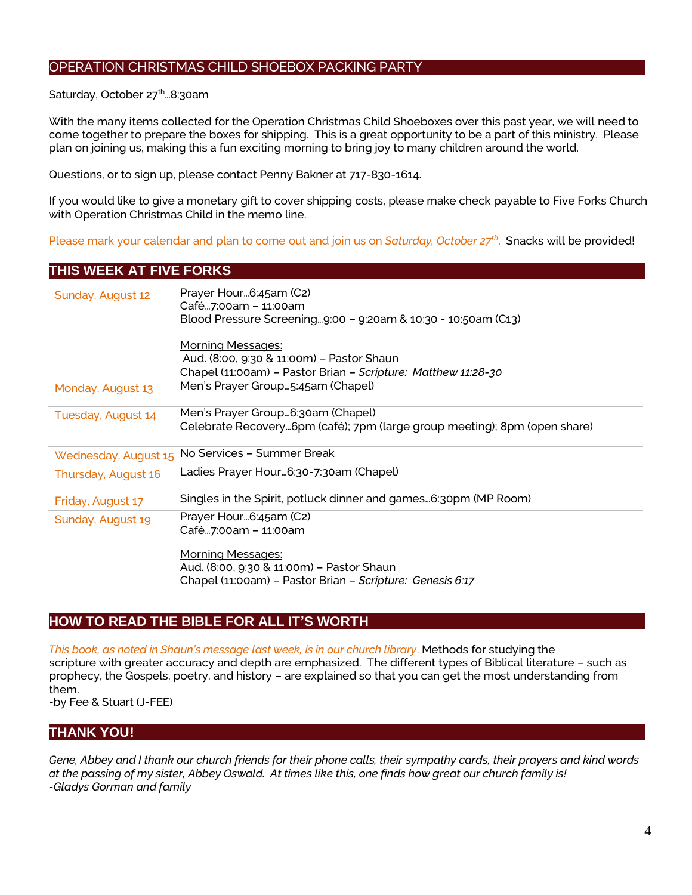# OPERATION CHRISTMAS CHILD SHOEBOX PACKING PARTY

Saturday, October 27<sup>th</sup>...8:30am

With the many items collected for the Operation Christmas Child Shoeboxes over this past year, we will need to come together to prepare the boxes for shipping. This is a great opportunity to be a part of this ministry. Please plan on joining us, making this a fun exciting morning to bring joy to many children around the world.

Questions, or to sign up, please contact Penny Bakner at 717-830-1614.

If you would like to give a monetary gift to cover shipping costs, please make check payable to Five Forks Church with Operation Christmas Child in the memo line.

Please mark your calendar and plan to come out and join us on *Saturday, October 27th* . Snacks will be provided!

## **THIS WEEK AT FIVE FORKS**

| Sunday, August 12    | Prayer Hour6:45am (C2)<br>Café…7:00am – 11:00am                                                                |
|----------------------|----------------------------------------------------------------------------------------------------------------|
|                      | Blood Pressure Screening9:00 - 9:20am & 10:30 - 10:50am (C13)                                                  |
|                      | <u> Morning Messages:</u>                                                                                      |
|                      | Aud. (8:00, 9:30 & 11:00m) - Pastor Shaun                                                                      |
|                      | Chapel (11:00am) – Pastor Brian – <i>Scripture: Matthew 11:28-30</i>                                           |
| Monday, August 13    | Men's Prayer Group5:45am (Chapel)                                                                              |
| Tuesday, August 14   | Men's Prayer Group6:30am (Chapel)<br>Celebrate Recovery6pm (café); 7pm (large group meeting); 8pm (open share) |
| Wednesday, August 15 | No Services - Summer Break                                                                                     |
| Thursday, August 16  | Ladies Prayer Hour6:30-7:30am (Chapel)                                                                         |
| Friday, August 17    | Singles in the Spirit, potluck dinner and games6:30pm (MP Room)                                                |
| Sunday, August 19    | Prayer Hour6:45am (C2)<br>Café7:00am - 11:00am                                                                 |
|                      | Morning Messages:                                                                                              |
|                      | Aud. (8:00, 9:30 & 11:00m) - Pastor Shaun                                                                      |
|                      | Chapel (11:00am) - Pastor Brian - Scripture: Genesis 6:17                                                      |

# **HOW TO READ THE BIBLE FOR ALL IT'S WORTH**

 *This book, as noted in Shaun's message last week, is in our church library*. Methods for studying the scripture with greater accuracy and depth are emphasized. The different types of Biblical literature – such as prophecy, the Gospels, poetry, and history – are explained so that you can get the most understanding from them.

-by Fee & Stuart (J-FEE)

# **THANK YOU!**

*Gene, Abbey and I thank our church friends for their phone calls, their sympathy cards, their prayers and kind words at the passing of my sister, Abbey Oswald. At times like this, one finds how great our church family is! -Gladys Gorman and family*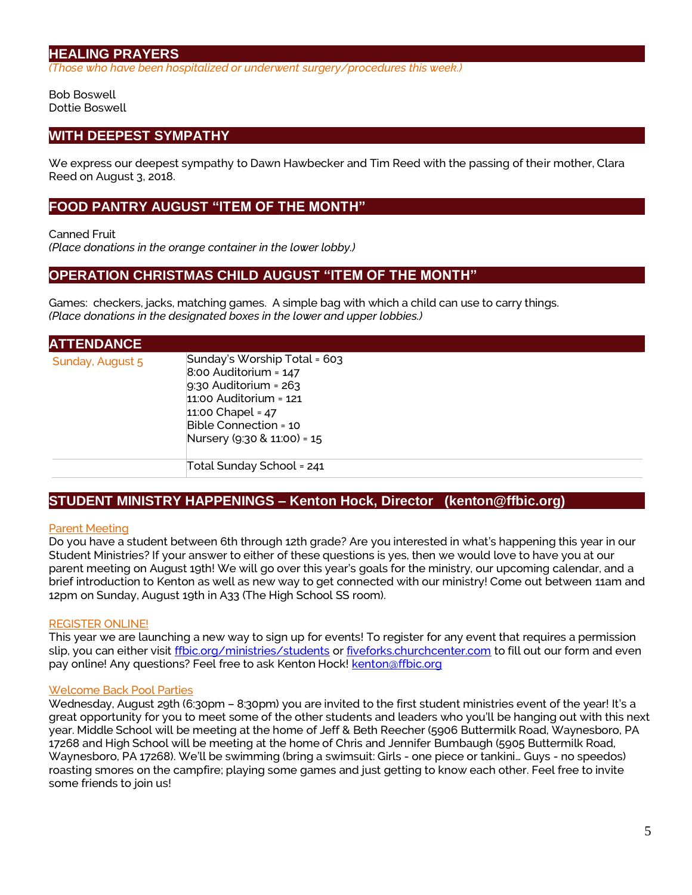# **HEALING PRAYERS**

*(Those who have been hospitalized or underwent surgery/procedures this week.)*

Bob Boswell Dottie Boswell

# **WITH DEEPEST SYMPATHY**

We express our deepest sympathy to Dawn Hawbecker and Tim Reed with the passing of their mother, Clara Reed on August 3, 2018.

# **FOOD PANTRY AUGUST "ITEM OF THE MONTH"**

Canned Fruit

*(Place donations in the orange container in the lower lobby.)*

# **OPERATION CHRISTMAS CHILD AUGUST "ITEM OF THE MONTH"**

Games: checkers, jacks, matching games. A simple bag with which a child can use to carry things. *(Place donations in the designated boxes in the lower and upper lobbies.)*

| <b>ATTENDANCE</b> |                                                                                                                                                                                                   |
|-------------------|---------------------------------------------------------------------------------------------------------------------------------------------------------------------------------------------------|
| Sunday, August 5  | Sunday's Worship Total = 603<br>$8:00$ Auditorium = $147$<br>$9:30$ Auditorium = 263<br>$11:00$ Auditorium = $121$<br>11:00 Chapel = $47$<br>Bible Connection = 10<br>Nursery (9:30 & 11:00) = 15 |
|                   | Total Sunday School = 241                                                                                                                                                                         |

# **STUDENT MINISTRY HAPPENINGS – Kenton Hock, Director (kenton@ffbic.org)**

## Parent Meeting

Do you have a student between 6th through 12th grade? Are you interested in what's happening this year in our Student Ministries? If your answer to either of these questions is yes, then we would love to have you at our parent meeting on August 19th! We will go over this year's goals for the ministry, our upcoming calendar, and a brief introduction to Kenton as well as new way to get connected with our ministry! Come out between 11am and 12pm on Sunday, August 19th in A33 (The High School SS room).

## REGISTER ONLINE!

This year we are launching a new way to sign up for events! To register for any event that requires a permission slip, you can either visit [ffbic.org/ministries/students](http://ffbic.org/ministries/students) or [fiveforks.churchcenter.com](http://fiveforks.churchcenter.com/) to fill out our form and even pay online! Any questions? Feel free to ask Kenton Hock! [kenton@ffbic.org](mailto:kenton@ffbic.org)

## Welcome Back Pool Parties

Wednesday, August 29th (6:30pm – 8:30pm) you are invited to the first student ministries event of the year! It's a great opportunity for you to meet some of the other students and leaders who you'll be hanging out with this next year. Middle School will be meeting at the home of Jeff & Beth Reecher (5906 Buttermilk Road, Waynesboro, PA 17268 and High School will be meeting at the home of Chris and Jennifer Bumbaugh (5905 Buttermilk Road, Waynesboro, PA 17268). We'll be swimming (bring a swimsuit: Girls - one piece or tankini… Guys - no speedos) roasting smores on the campfire; playing some games and just getting to know each other. Feel free to invite some friends to join us!